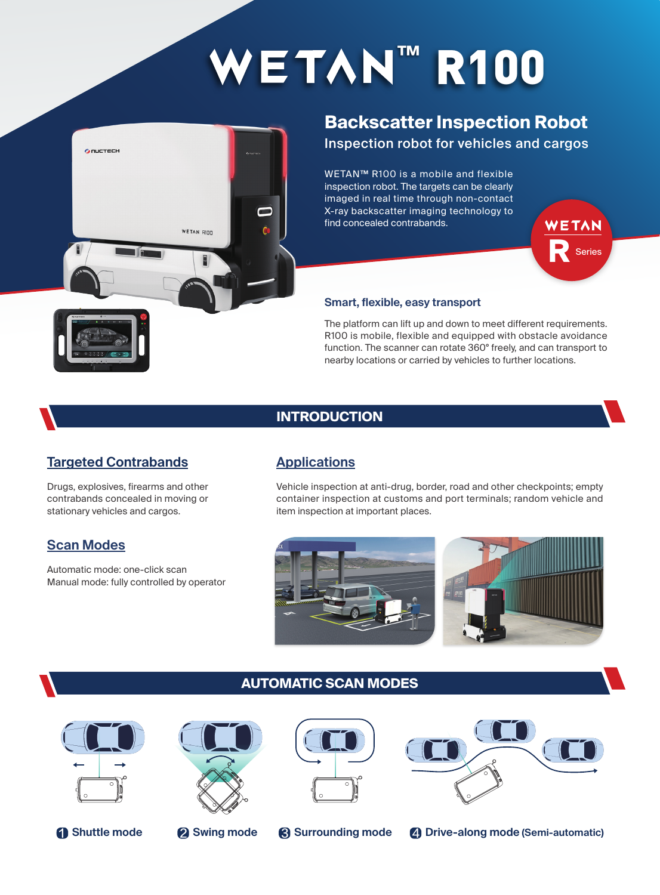# $WETAN^M$  R100



## **Backscatter Inspection Robot**

Inspection robot for vehicles and cargos

WETAN™ R100 is a mobile and flexible inspection robot. The targets can be clearly imaged in real time through non-contact X-ray backscatter imaging technology to find concealed contrabands.

#### **Smart, flexible, easy transport**

The platform can lift up and down to meet different requirements. R100 is mobile, flexible and equipped with obstacle avoidance function. The scanner can rotate 360° freely, and can transport to nearby locations or carried by vehicles to further locations.

**R** Series

WETAN

### **INTRODUCTION**

## **Targeted Contrabands**

Drugs, explosives, firearms and other contrabands concealed in moving or stationary vehicles and cargos.

#### **Scan Modes**

Automatic mode: one-click scan Manual mode: fully controlled by operator

## **Applications**

Vehicle inspection at anti-drug, border, road and other checkpoints; empty container inspection at customs and port terminals; random vehicle and item inspection at important places.



#### **AUTOMATIC SCAN MODES**







1 **Shuttle mode** 2 **Swing mode** 3 **Surrounding mode** 4 **Drive-along mode (Semi-automatic)**